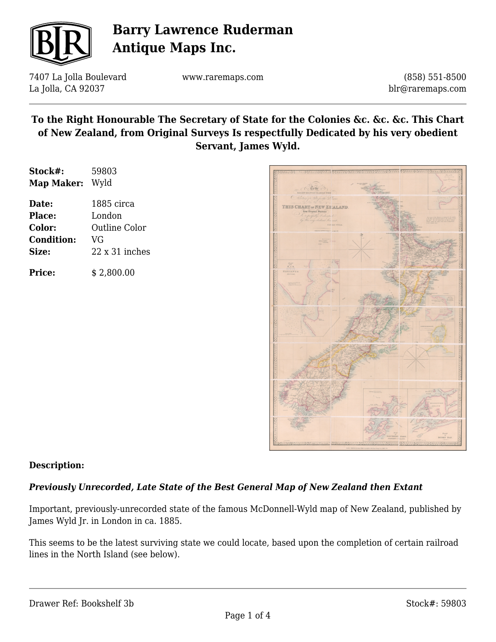

7407 La Jolla Boulevard La Jolla, CA 92037

www.raremaps.com

(858) 551-8500 blr@raremaps.com

### **To the Right Honourable The Secretary of State for the Colonies &c. &c. &c. This Chart of New Zealand, from Original Surveys Is respectfully Dedicated by his very obedient Servant, James Wyld.**

| Stock#:<br><b>Map Maker:</b> | 59803<br>Wyld         |
|------------------------------|-----------------------|
|                              |                       |
| <b>Place:</b>                | London                |
| Color:                       | <b>Outline Color</b>  |
| <b>Condition:</b>            | VG                    |
| Size:                        | $22 \times 31$ inches |
| <b>Price:</b>                | \$2,800.00            |



### **Description:**

### *Previously Unrecorded, Late State of the Best General Map of New Zealand then Extant*

Important, previously-unrecorded state of the famous McDonnell-Wyld map of New Zealand, published by James Wyld Jr. in London in ca. 1885.

This seems to be the latest surviving state we could locate, based upon the completion of certain railroad lines in the North Island (see below).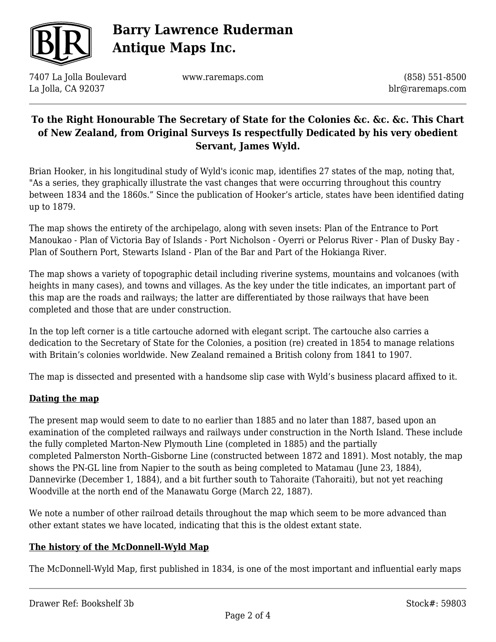

7407 La Jolla Boulevard La Jolla, CA 92037

www.raremaps.com

(858) 551-8500 blr@raremaps.com

## **To the Right Honourable The Secretary of State for the Colonies &c. &c. &c. This Chart of New Zealand, from Original Surveys Is respectfully Dedicated by his very obedient Servant, James Wyld.**

Brian Hooker, in his longitudinal study of Wyld's iconic map, identifies 27 states of the map, noting that, "As a series, they graphically illustrate the vast changes that were occurring throughout this country between 1834 and the 1860s." Since the publication of Hooker's article, states have been identified dating up to 1879.

The map shows the entirety of the archipelago, along with seven insets: Plan of the Entrance to Port Manoukao - Plan of Victoria Bay of Islands - Port Nicholson - Oyerri or Pelorus River - Plan of Dusky Bay - Plan of Southern Port, Stewarts Island - Plan of the Bar and Part of the Hokianga River.

The map shows a variety of topographic detail including riverine systems, mountains and volcanoes (with heights in many cases), and towns and villages. As the key under the title indicates, an important part of this map are the roads and railways; the latter are differentiated by those railways that have been completed and those that are under construction.

In the top left corner is a title cartouche adorned with elegant script. The cartouche also carries a dedication to the Secretary of State for the Colonies, a position (re) created in 1854 to manage relations with Britain's colonies worldwide. New Zealand remained a British colony from 1841 to 1907.

The map is dissected and presented with a handsome slip case with Wyld's business placard affixed to it.

### **Dating the map**

The present map would seem to date to no earlier than 1885 and no later than 1887, based upon an examination of the completed railways and railways under construction in the North Island. These include the fully completed Marton-New Plymouth Line (completed in 1885) and the partially completed Palmerston North–Gisborne Line (constructed between 1872 and 1891). Most notably, the map shows the PN-GL line from Napier to the south as being completed to Matamau (June 23, 1884), Dannevirke (December 1, 1884), and a bit further south to Tahoraite (Tahoraiti), but not yet reaching Woodville at the north end of the Manawatu Gorge (March 22, 1887).

We note a number of other railroad details throughout the map which seem to be more advanced than other extant states we have located, indicating that this is the oldest extant state.

### **The history of the McDonnell-Wyld Map**

The McDonnell-Wyld Map, first published in 1834, is one of the most important and influential early maps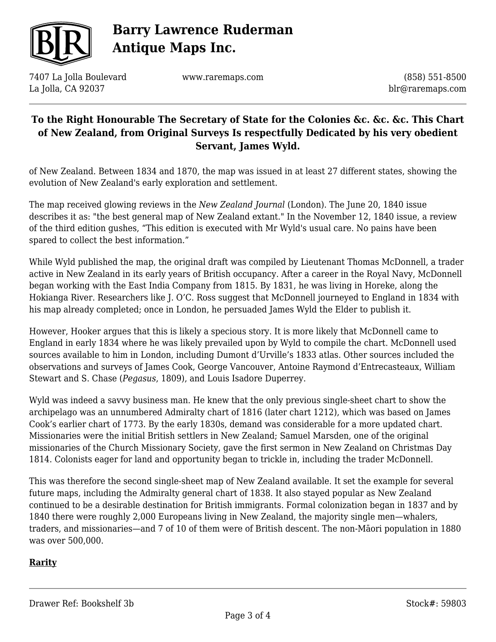

7407 La Jolla Boulevard La Jolla, CA 92037

www.raremaps.com

(858) 551-8500 blr@raremaps.com

## **To the Right Honourable The Secretary of State for the Colonies &c. &c. &c. This Chart of New Zealand, from Original Surveys Is respectfully Dedicated by his very obedient Servant, James Wyld.**

of New Zealand. Between 1834 and 1870, the map was issued in at least 27 different states, showing the evolution of New Zealand's early exploration and settlement.

The map received glowing reviews in the *New Zealand Journal* (London). The June 20, 1840 issue describes it as: "the best general map of New Zealand extant." In the November 12, 1840 issue, a review of the third edition gushes, "This edition is executed with Mr Wyld's usual care. No pains have been spared to collect the best information."

While Wyld published the map, the original draft was compiled by Lieutenant Thomas McDonnell, a trader active in New Zealand in its early years of British occupancy. After a career in the Royal Navy, McDonnell began working with the East India Company from 1815. By 1831, he was living in Horeke, along the Hokianga River. Researchers like J. O'C. Ross suggest that McDonnell journeyed to England in 1834 with his map already completed; once in London, he persuaded James Wyld the Elder to publish it.

However, Hooker argues that this is likely a specious story. It is more likely that McDonnell came to England in early 1834 where he was likely prevailed upon by Wyld to compile the chart. McDonnell used sources available to him in London, including Dumont d'Urville's 1833 atlas. Other sources included the observations and surveys of James Cook, George Vancouver, Antoine Raymond d'Entrecasteaux, William Stewart and S. Chase (*Pegasus*, 1809), and Louis Isadore Duperrey.

Wyld was indeed a savvy business man. He knew that the only previous single-sheet chart to show the archipelago was an unnumbered Admiralty chart of 1816 (later chart 1212), which was based on James Cook's earlier chart of 1773. By the early 1830s, demand was considerable for a more updated chart. Missionaries were the initial British settlers in New Zealand; Samuel Marsden, one of the original missionaries of the Church Missionary Society, gave the first sermon in New Zealand on Christmas Day 1814. Colonists eager for land and opportunity began to trickle in, including the trader McDonnell.

This was therefore the second single-sheet map of New Zealand available. It set the example for several future maps, including the Admiralty general chart of 1838. It also stayed popular as New Zealand continued to be a desirable destination for British immigrants. Formal colonization began in 1837 and by 1840 there were roughly 2,000 Europeans living in New Zealand, the majority single men—whalers, traders, and missionaries—and 7 of 10 of them were of British descent. The non-Māori population in 1880 was over 500,000.

### **Rarity**